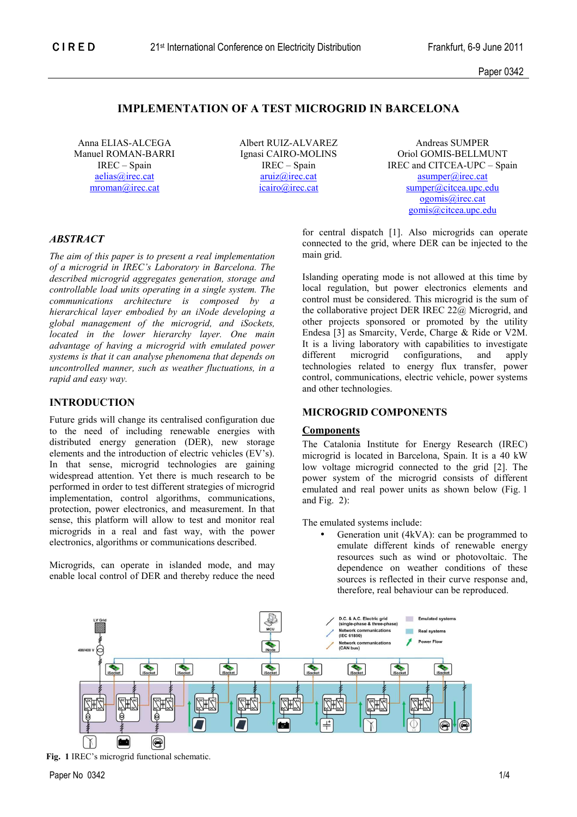Paper 0342

# **IMPLEMENTATION OF A TEST MICROGRID IN BARCELONA**

Anna ELIAS-ALCEGA Manuel ROMAN-BARRI IREC – Spain aelias@irec.cat mroman@irec.cat

Albert RUIZ-ALVAREZ Ignasi CAIRO-MOLINS IREC – Spain aruiz@irec.cat icairo@irec.cat

Andreas SUMPER Oriol GOMIS-BELLMUNT IREC and CITCEA-UPC – Spain asumper@irec.cat sumper@citcea.upc.edu ogomis@irec.cat gomis@citcea.upc.edu

# *ABSTRACT*

*The aim of this paper is to present a real implementation of a microgrid in IREC's Laboratory in Barcelona. The described microgrid aggregates generation, storage and controllable load units operating in a single system. The communications architecture is composed by a hierarchical layer embodied by an iNode developing a global management of the microgrid, and iSockets, located in the lower hierarchy layer. One main advantage of having a microgrid with emulated power systems is that it can analyse phenomena that depends on uncontrolled manner, such as weather fluctuations, in a rapid and easy way.* 

# **INTRODUCTION**

Future grids will change its centralised configuration due to the need of including renewable energies with distributed energy generation (DER), new storage elements and the introduction of electric vehicles (EV's). In that sense, microgrid technologies are gaining widespread attention. Yet there is much research to be performed in order to test different strategies of microgrid implementation, control algorithms, communications, protection, power electronics, and measurement. In that sense, this platform will allow to test and monitor real microgrids in a real and fast way, with the power electronics, algorithms or communications described.

Microgrids, can operate in islanded mode, and may enable local control of DER and thereby reduce the need for central dispatch [1]. Also microgrids can operate connected to the grid, where DER can be injected to the main grid.

Islanding operating mode is not allowed at this time by local regulation, but power electronics elements and control must be considered. This microgrid is the sum of the collaborative project DER IREC 22@ Microgrid, and other projects sponsored or promoted by the utility Endesa [3] as Smarcity, Verde, Charge & Ride or V2M. It is a living laboratory with capabilities to investigate<br>different microgrid configurations, and apply microgrid configurations, technologies related to energy flux transfer, power control, communications, electric vehicle, power systems and other technologies.

## **MICROGRID COMPONENTS**

### **Components**

The Catalonia Institute for Energy Research (IREC) microgrid is located in Barcelona, Spain. It is a 40 kW low voltage microgrid connected to the grid [2]. The power system of the microgrid consists of different emulated and real power units as shown below (Fig. 1 and Fig. 2):

The emulated systems include:

Generation unit (4kVA): can be programmed to emulate different kinds of renewable energy resources such as wind or photovoltaic. The dependence on weather conditions of these sources is reflected in their curve response and, therefore, real behaviour can be reproduced.



**Fig. 1** IREC's microgrid functional schematic.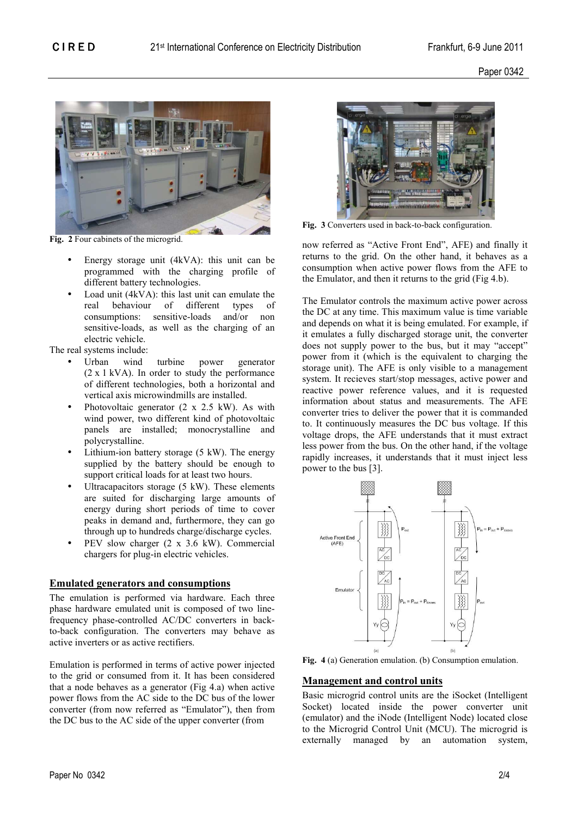Paper 0342



**Fig. 2** Four cabinets of the microgrid.

- Energy storage unit (4kVA): this unit can be programmed with the charging profile of different battery technologies.
- Load unit (4kVA): this last unit can emulate the<br>real behaviour of different types of real behaviour of different types of consumptions: sensitive-loads and/or non sensitive-loads, as well as the charging of an electric vehicle.

The real systems include:

- Urban wind turbine power generator (2 x 1 kVA). In order to study the performance of different technologies, both a horizontal and vertical axis microwindmills are installed.
- Photovoltaic generator (2 x 2.5 kW). As with wind power, two different kind of photovoltaic panels are installed; monocrystalline and polycrystalline.
- Lithium-ion battery storage  $(5 \text{ kW})$ . The energy supplied by the battery should be enough to support critical loads for at least two hours.
- Ultracapacitors storage  $(5 \text{ kW})$ . These elements are suited for discharging large amounts of energy during short periods of time to cover peaks in demand and, furthermore, they can go through up to hundreds charge/discharge cycles.
- PEV slow charger (2 x 3.6 kW). Commercial chargers for plug-in electric vehicles.

# **Emulated generators and consumptions**

The emulation is performed via hardware. Each three phase hardware emulated unit is composed of two linefrequency phase-controlled AC/DC converters in backto-back configuration. The converters may behave as active inverters or as active rectifiers.

Emulation is performed in terms of active power injected to the grid or consumed from it. It has been considered that a node behaves as a generator (Fig 4.a) when active power flows from the AC side to the DC bus of the lower converter (from now referred as "Emulator"), then from the DC bus to the AC side of the upper converter (from



**Fig. 3** Converters used in back-to-back configuration.

now referred as "Active Front End", AFE) and finally it returns to the grid. On the other hand, it behaves as a consumption when active power flows from the AFE to the Emulator, and then it returns to the grid (Fig 4.b).

The Emulator controls the maximum active power across the DC at any time. This maximum value is time variable and depends on what it is being emulated. For example, if it emulates a fully discharged storage unit, the converter does not supply power to the bus, but it may "accept" power from it (which is the equivalent to charging the storage unit). The AFE is only visible to a management system. It recieves start/stop messages, active power and reactive power reference values, and it is requested information about status and measurements. The AFE converter tries to deliver the power that it is commanded to. It continuously measures the DC bus voltage. If this voltage drops, the AFE understands that it must extract less power from the bus. On the other hand, if the voltage rapidly increases, it understands that it must inject less power to the bus [3].



**Fig. 4** (a) Generation emulation. (b) Consumption emulation.

# **Management and control units**

Basic microgrid control units are the iSocket (Intelligent Socket) located inside the power converter unit (emulator) and the iNode (Intelligent Node) located close to the Microgrid Control Unit (MCU). The microgrid is externally managed by an automation system,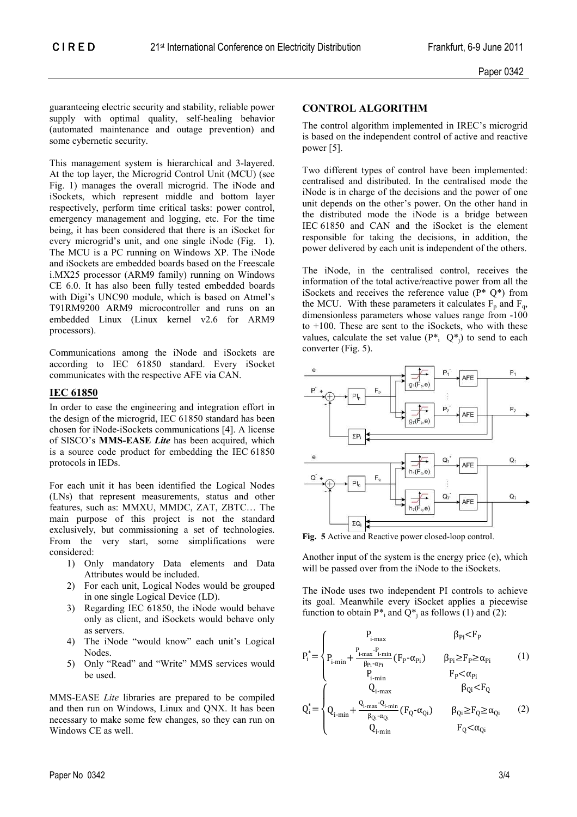guaranteeing electric security and stability, reliable power supply with optimal quality, self-healing behavior (automated maintenance and outage prevention) and some cybernetic security.

This management system is hierarchical and 3-layered. At the top layer, the Microgrid Control Unit (MCU) (see Fig. 1) manages the overall microgrid. The iNode and iSockets, which represent middle and bottom layer respectively, perform time critical tasks: power control, emergency management and logging, etc. For the time being, it has been considered that there is an iSocket for every microgrid's unit, and one single iNode (Fig. 1). The MCU is a PC running on Windows XP. The iNode and iSockets are embedded boards based on the Freescale i.MX25 processor (ARM9 family) running on Windows CE 6.0. It has also been fully tested embedded boards with Digi's UNC90 module, which is based on Atmel's T91RM9200 ARM9 microcontroller and runs on an embedded Linux (Linux kernel v2.6 for ARM9 processors).

Communications among the iNode and iSockets are according to IEC 61850 standard. Every iSocket communicates with the respective AFE via CAN.

# **IEC 61850**

In order to ease the engineering and integration effort in the design of the microgrid, IEC 61850 standard has been chosen for iNode-iSockets communications [4]. A license of SISCO's **MMS-EASE** *Lite* has been acquired, which is a source code product for embedding the IEC 61850 protocols in IEDs.

For each unit it has been identified the Logical Nodes (LNs) that represent measurements, status and other features, such as: MMXU, MMDC, ZAT, ZBTC… The main purpose of this project is not the standard exclusively, but commissioning a set of technologies. From the very start, some simplifications were considered:

- 1) Only mandatory Data elements and Data Attributes would be included.
- 2) For each unit, Logical Nodes would be grouped in one single Logical Device (LD).
- 3) Regarding IEC 61850, the iNode would behave only as client, and iSockets would behave only as servers.
- 4) The iNode "would know" each unit's Logical Nodes.
- 5) Only "Read" and "Write" MMS services would be used.

MMS-EASE *Lite* libraries are prepared to be compiled and then run on Windows, Linux and QNX. It has been necessary to make some few changes, so they can run on Windows CE as well.

## **CONTROL ALGORITHM**

The control algorithm implemented in IREC's microgrid is based on the independent control of active and reactive power [5].

Two different types of control have been implemented: centralised and distributed. In the centralised mode the iNode is in charge of the decisions and the power of one unit depends on the other's power. On the other hand in the distributed mode the iNode is a bridge between IEC 61850 and CAN and the iSocket is the element responsible for taking the decisions, in addition, the power delivered by each unit is independent of the others.

The iNode, in the centralised control, receives the information of the total active/reactive power from all the iSockets and receives the reference value  $(P^* O^*)$  from the MCU. With these parameters it calculates  $F_p$  and  $F_q$ , dimensionless parameters whose values range from -100 to  $+100$ . These are sent to the iSockets, who with these values, calculate the set value  $(P^*, Q^*)$  to send to each converter (Fig. 5).



**Fig. 5** Active and Reactive power closed-loop control.

Another input of the system is the energy price (e), which will be passed over from the iNode to the iSockets.

The iNode uses two independent PI controls to achieve its goal. Meanwhile every iSocket applies a piecewise function to obtain  $P^*$ <sub>i</sub> and  $Q^*$ <sub>j</sub> as follows (1) and (2):

$$
P_i^* = \begin{cases} P_{i\text{-max}} & \beta_{Pi} < F_P\\ P_{i\text{-min}} + \frac{P_{i\text{-max}} \cdot P_{i\text{-min}}}{\beta_{Pi} \cdot \alpha_{Pi}} (F_P \cdot \alpha_{Pi}) & \beta_{Pi} \ge F_P \ge \alpha_{Pi} \\ P_{i\text{-min}} & F_P < \alpha_{Pi} \\ Q_{i\text{-max}} & \beta_{Qi} < F_Q \end{cases} \tag{1}
$$

$$
Q_i^* = \begin{cases} Q_{i\text{-min}} + \frac{Q_{i\text{-max}} \cdot Q_{i\text{-min}}}{\beta_{Qi} \cdot \alpha_{Qi}} (F_Q \cdot \alpha_{Qi}) & \beta_{Qi} \ge F_Q \ge \alpha_{Qi} \\ Q_{i\text{-min}} & F_Q < \alpha_{Qi} \end{cases} \tag{2}
$$